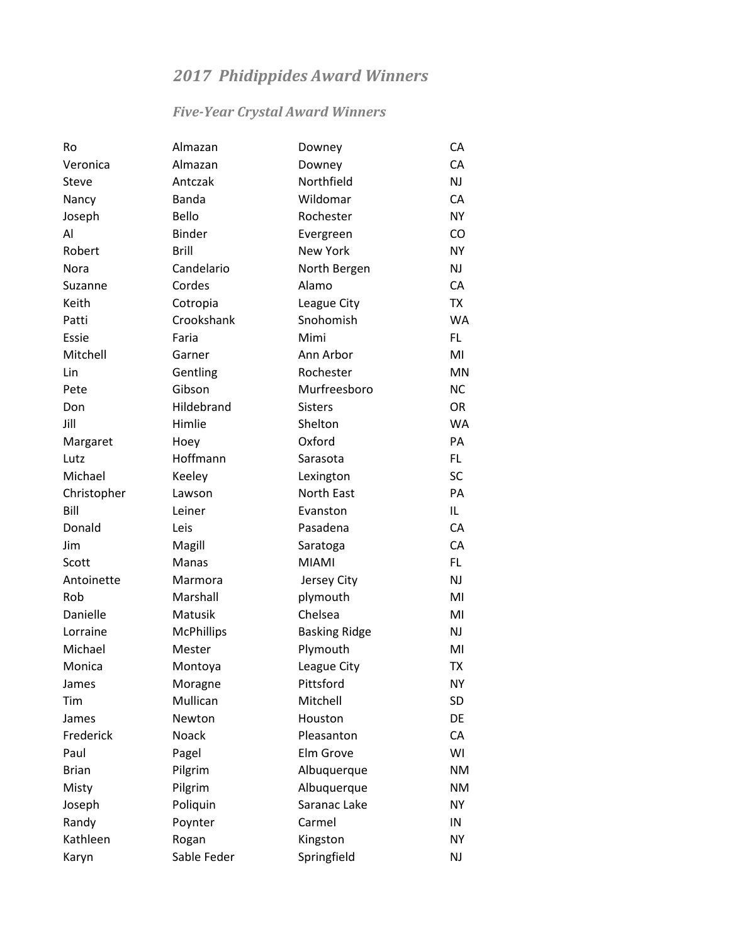# *2017 Phidippides Award Winners*

## *Five-Year Crystal Award Winners*

| Ro           | Almazan           | Downey               | CA        |
|--------------|-------------------|----------------------|-----------|
| Veronica     | Almazan           | Downey               | CA        |
| Steve        | Antczak           | Northfield           | <b>NJ</b> |
| Nancy        | Banda             | Wildomar             | CA        |
| Joseph       | Bello             | Rochester            | <b>NY</b> |
| Al           | <b>Binder</b>     | Evergreen            | CO        |
| Robert       | <b>Brill</b>      | <b>New York</b>      | <b>NY</b> |
| Nora         | Candelario        | North Bergen         | <b>NJ</b> |
| Suzanne      | Cordes            | Alamo                | CA        |
| Keith        | Cotropia          | League City          | <b>TX</b> |
| Patti        | Crookshank        | Snohomish            | <b>WA</b> |
| Essie        | Faria             | Mimi                 | FL.       |
| Mitchell     | Garner            | Ann Arbor            | MI        |
| Lin          | Gentling          | Rochester            | <b>MN</b> |
| Pete         | Gibson            | Murfreesboro         | <b>NC</b> |
| Don          | Hildebrand        | <b>Sisters</b>       | OR.       |
| Jill         | Himlie            | Shelton              | <b>WA</b> |
| Margaret     | Hoey              | Oxford               | PA        |
| Lutz         | Hoffmann          | Sarasota             | FL.       |
| Michael      | Keeley            | Lexington            | <b>SC</b> |
| Christopher  | Lawson            | North East           | PA        |
| Bill         | Leiner            | Evanston             | IL.       |
| Donald       | Leis              | Pasadena             | CA        |
| Jim          | Magill            | Saratoga             | CA        |
| Scott        | Manas             | <b>MIAMI</b>         | FL.       |
| Antoinette   | Marmora           | Jersey City          | NJ        |
| Rob          | Marshall          | plymouth             | MI        |
| Danielle     | Matusik           | Chelsea              | MI        |
| Lorraine     | <b>McPhillips</b> | <b>Basking Ridge</b> | <b>NJ</b> |
| Michael      | Mester            | Plymouth             | MI        |
| Monica       | Montoya           | League City          | <b>TX</b> |
| James        | Moragne           | Pittsford            | <b>NY</b> |
| Tim          | Mullican          | Mitchell             | <b>SD</b> |
| James        | Newton            | Houston              | DE        |
| Frederick    | Noack             | Pleasanton           | CA        |
| Paul         | Pagel             | Elm Grove            | WI        |
| <b>Brian</b> | Pilgrim           | Albuquerque          | <b>NM</b> |
| Misty        | Pilgrim           | Albuquerque          | <b>NM</b> |
| Joseph       | Poliquin          | Saranac Lake         | NY.       |
| Randy        | Poynter           | Carmel               | IN        |
| Kathleen     | Rogan             | Kingston             | <b>NY</b> |
| Karyn        | Sable Feder       | Springfield          | NJ        |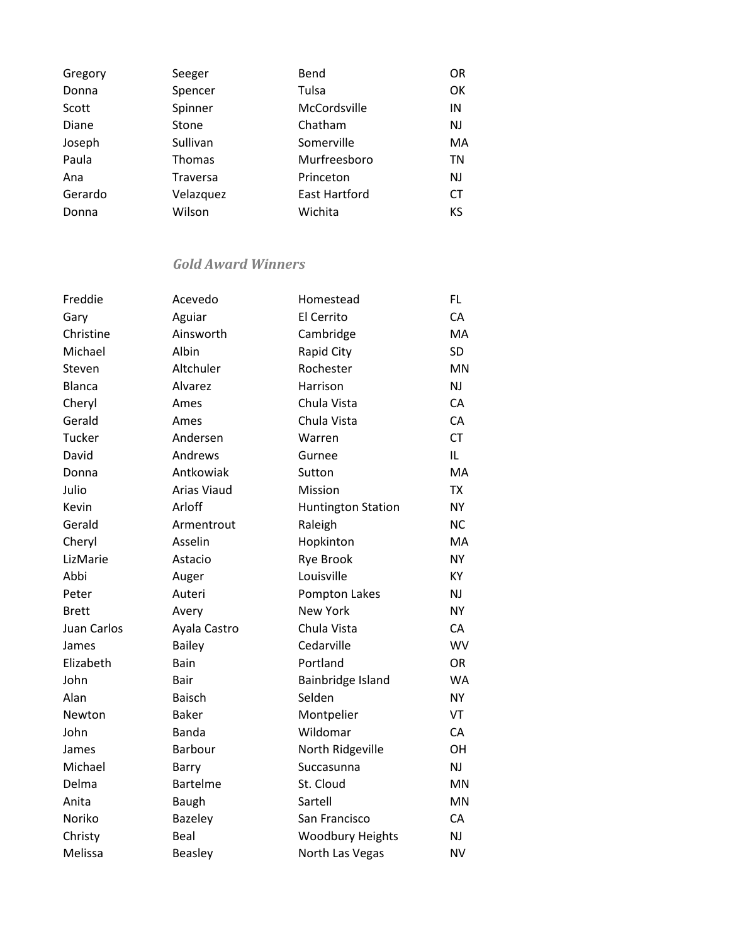| Gregory | Seeger          | Bend                 | <b>OR</b> |
|---------|-----------------|----------------------|-----------|
| Donna   | Spencer         | Tulsa                | OK        |
| Scott   | Spinner         | McCordsville         | IN        |
| Diane   | Stone           | Chatham              | <b>NJ</b> |
| Joseph  | Sullivan        | Somerville           | MA        |
| Paula   | Thomas          | Murfreesboro         | TN        |
| Ana     | <b>Traversa</b> | Princeton            | <b>NJ</b> |
| Gerardo | Velazquez       | <b>East Hartford</b> | <b>CT</b> |
| Donna   | Wilson          | Wichita              | KS        |
|         |                 |                      |           |

### *Gold Award Winners*

| Freddie            | Acevedo            | Homestead                 | FL.       |
|--------------------|--------------------|---------------------------|-----------|
| Gary               | Aguiar             | El Cerrito                | CA        |
| Christine          | Ainsworth          | Cambridge                 | MA        |
| Michael            | Albin              | Rapid City                | <b>SD</b> |
| Steven             | Altchuler          | Rochester                 | <b>MN</b> |
| <b>Blanca</b>      | Alvarez            | Harrison                  | NJ        |
| Cheryl             | Ames               | Chula Vista               | CA        |
| Gerald             | Ames               | Chula Vista               | CA        |
| <b>Tucker</b>      | Andersen           | Warren                    | <b>CT</b> |
| David              | Andrews            | Gurnee                    | IL.       |
| Donna              | Antkowiak          | Sutton                    | MA        |
| Julio              | <b>Arias Viaud</b> | Mission                   | <b>TX</b> |
| Kevin              | Arloff             | <b>Huntington Station</b> | <b>NY</b> |
| Gerald             | Armentrout         | Raleigh                   | <b>NC</b> |
| Cheryl             | Asselin            | Hopkinton                 | MA        |
| LizMarie           | Astacio            | Rye Brook                 | <b>NY</b> |
| Abbi               | Auger              | Louisville                | KY        |
| Peter              | Auteri             | Pompton Lakes             | NJ        |
| <b>Brett</b>       | Avery              | <b>New York</b>           | <b>NY</b> |
| <b>Juan Carlos</b> | Ayala Castro       | Chula Vista               | CA        |
| James              | Bailey             | Cedarville                | <b>WV</b> |
| Elizabeth          | Bain               | Portland                  | <b>OR</b> |
| John               | <b>Bair</b>        | Bainbridge Island         | <b>WA</b> |
| Alan               | Baisch             | Selden                    | <b>NY</b> |
| Newton             | <b>Baker</b>       | Montpelier                | VT        |
| John               | <b>Banda</b>       | Wildomar                  | CA        |
| James              | Barbour            | North Ridgeville          | OH        |
| Michael            | Barry              | Succasunna                | <b>NJ</b> |
| Delma              | <b>Bartelme</b>    | St. Cloud                 | <b>MN</b> |
| Anita              | <b>Baugh</b>       | Sartell                   | <b>MN</b> |
| Noriko             | <b>Bazeley</b>     | San Francisco             | CA        |
| Christy            | Beal               | <b>Woodbury Heights</b>   | NJ        |
| Melissa            | <b>Beasley</b>     | North Las Vegas           | <b>NV</b> |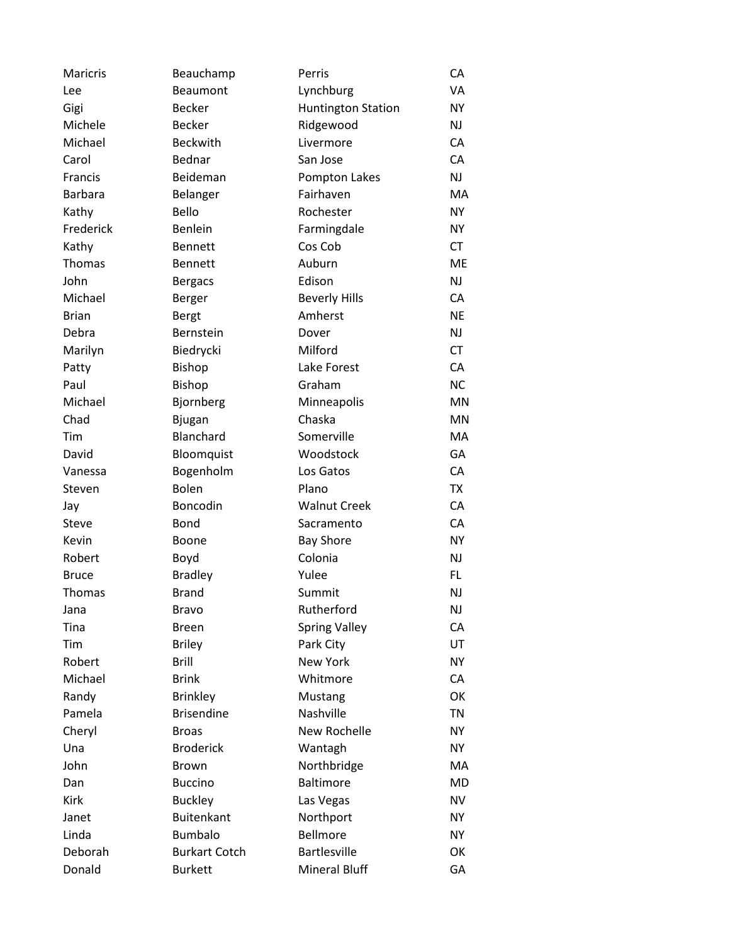| <b>Maricris</b> | Beauchamp            | Perris                    | CA        |
|-----------------|----------------------|---------------------------|-----------|
| Lee             | Beaumont             | Lynchburg                 | VA        |
| Gigi            | <b>Becker</b>        | <b>Huntington Station</b> | <b>NY</b> |
| Michele         | <b>Becker</b>        | Ridgewood                 | NJ        |
| Michael         | <b>Beckwith</b>      | Livermore                 | CA        |
| Carol           | Bednar               | San Jose                  | CA        |
| Francis         | Beideman             | Pompton Lakes             | <b>NJ</b> |
| <b>Barbara</b>  | Belanger             | Fairhaven                 | MA        |
| Kathy           | Bello                | Rochester                 | <b>NY</b> |
| Frederick       | <b>Benlein</b>       | Farmingdale               | <b>NY</b> |
| Kathy           | <b>Bennett</b>       | Cos Cob                   | <b>CT</b> |
| Thomas          | <b>Bennett</b>       | Auburn                    | <b>ME</b> |
| John            | <b>Bergacs</b>       | Edison                    | NJ        |
| Michael         | Berger               | <b>Beverly Hills</b>      | CA        |
| <b>Brian</b>    | <b>Bergt</b>         | Amherst                   | <b>NE</b> |
| Debra           | Bernstein            | Dover                     | <b>NJ</b> |
| Marilyn         | Biedrycki            | Milford                   | <b>CT</b> |
| Patty           | <b>Bishop</b>        | Lake Forest               | CA        |
| Paul            | <b>Bishop</b>        | Graham                    | <b>NC</b> |
| Michael         | Bjornberg            | Minneapolis               | <b>MN</b> |
| Chad            | <b>Bjugan</b>        | Chaska                    | MN        |
| Tim             | Blanchard            | Somerville                | MA        |
| David           | Bloomquist           | Woodstock                 | GA        |
| Vanessa         | Bogenholm            | Los Gatos                 | CA        |
| Steven          | Bolen                | Plano                     | <b>TX</b> |
| Jay             | Boncodin             | <b>Walnut Creek</b>       | CA        |
| Steve           | <b>Bond</b>          | Sacramento                | CA        |
| Kevin           | Boone                | <b>Bay Shore</b>          | <b>NY</b> |
| Robert          | Boyd                 | Colonia                   | NJ        |
| <b>Bruce</b>    | <b>Bradley</b>       | Yulee                     | <b>FL</b> |
| <b>Thomas</b>   | <b>Brand</b>         | Summit                    | <b>NJ</b> |
| Jana            | <b>Bravo</b>         | Rutherford                | <b>NJ</b> |
| Tina            | <b>Breen</b>         | <b>Spring Valley</b>      | CA        |
| Tim             | <b>Briley</b>        | Park City                 | UT        |
| Robert          | <b>Brill</b>         | <b>New York</b>           | <b>NY</b> |
| Michael         | <b>Brink</b>         | Whitmore                  | CA        |
| Randy           | <b>Brinkley</b>      | Mustang                   | OK        |
| Pamela          | <b>Brisendine</b>    | Nashville                 | <b>TN</b> |
| Cheryl          | <b>Broas</b>         | New Rochelle              | <b>NY</b> |
| Una             | <b>Broderick</b>     | Wantagh                   | <b>NY</b> |
| John            | <b>Brown</b>         | Northbridge               | MA        |
| Dan             | <b>Buccino</b>       | <b>Baltimore</b>          | MD        |
| Kirk            | <b>Buckley</b>       | Las Vegas                 | <b>NV</b> |
| Janet           | <b>Buitenkant</b>    | Northport                 | <b>NY</b> |
| Linda           | <b>Bumbalo</b>       | Bellmore                  | <b>NY</b> |
| Deborah         | <b>Burkart Cotch</b> | <b>Bartlesville</b>       | OK        |
| Donald          | <b>Burkett</b>       | Mineral Bluff             | GA        |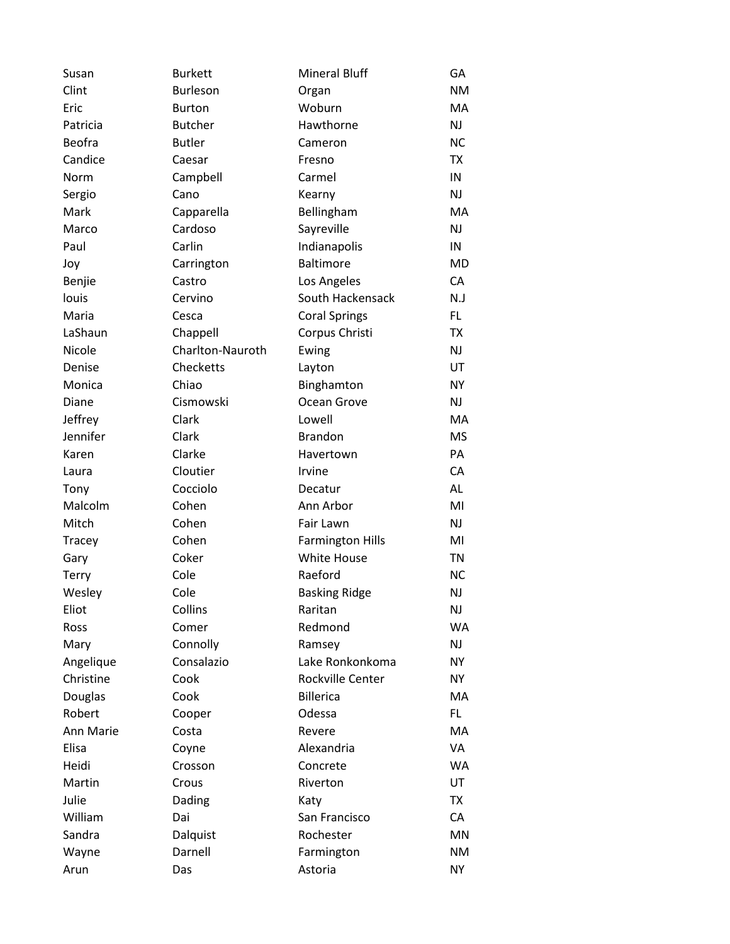| Susan        | <b>Burkett</b>   | <b>Mineral Bluff</b>    | GA        |
|--------------|------------------|-------------------------|-----------|
| Clint        | <b>Burleson</b>  | Organ                   | <b>NM</b> |
| Eric         | <b>Burton</b>    | Woburn                  | MA        |
| Patricia     | <b>Butcher</b>   | Hawthorne               | <b>NJ</b> |
| Beofra       | <b>Butler</b>    | Cameron                 | <b>NC</b> |
| Candice      | Caesar           | Fresno                  | <b>TX</b> |
| Norm         | Campbell         | Carmel                  | IN        |
| Sergio       | Cano             | Kearny                  | <b>NJ</b> |
| Mark         | Capparella       | Bellingham              | MA        |
| Marco        | Cardoso          | Sayreville              | <b>NJ</b> |
| Paul         | Carlin           | Indianapolis            | IN        |
| Joy          | Carrington       | <b>Baltimore</b>        | MD        |
| Benjie       | Castro           | Los Angeles             | CA        |
| louis        | Cervino          | South Hackensack        | N.J       |
| Maria        | Cesca            | <b>Coral Springs</b>    | FL.       |
| LaShaun      | Chappell         | Corpus Christi          | TX        |
| Nicole       | Charlton-Nauroth | Ewing                   | <b>NJ</b> |
| Denise       | Checketts        | Layton                  | UT        |
| Monica       | Chiao            | Binghamton              | <b>NY</b> |
| Diane        | Cismowski        | Ocean Grove             | <b>NJ</b> |
| Jeffrey      | Clark            | Lowell                  | MA        |
| Jennifer     | Clark            | <b>Brandon</b>          | <b>MS</b> |
| Karen        | Clarke           | Havertown               | PA        |
| Laura        | Cloutier         | Irvine                  | CA        |
| Tony         | Cocciolo         | Decatur                 | <b>AL</b> |
| Malcolm      | Cohen            | Ann Arbor               | MI        |
| Mitch        | Cohen            | Fair Lawn               | NJ        |
| Tracey       | Cohen            | <b>Farmington Hills</b> | MI        |
| Gary         | Coker            | White House             | <b>TN</b> |
| <b>Terry</b> | Cole             | Raeford                 | <b>NC</b> |
| Wesley       | Cole             | <b>Basking Ridge</b>    | NJ        |
| Eliot        | Collins          | Raritan                 | <b>NJ</b> |
| Ross         | Comer            | Redmond                 | <b>WA</b> |
| Mary         | Connolly         | Ramsey                  | NJ        |
| Angelique    | Consalazio       | Lake Ronkonkoma         | <b>NY</b> |
| Christine    | Cook             | Rockville Center        | <b>NY</b> |
| Douglas      | Cook             | <b>Billerica</b>        | МA        |
| Robert       | Cooper           | Odessa                  | FL.       |
| Ann Marie    | Costa            | Revere                  | MA        |
| Elisa        | Coyne            | Alexandria              | VA        |
| Heidi        | Crosson          | Concrete                | <b>WA</b> |
| Martin       | Crous            | Riverton                | UT        |
| Julie        | Dading           | Katy                    | TX        |
| William      | Dai              | San Francisco           | CA        |
| Sandra       | Dalquist         | Rochester               | MN        |
| Wayne        | Darnell          | Farmington              | <b>NM</b> |
| Arun         | Das              | Astoria                 | NY        |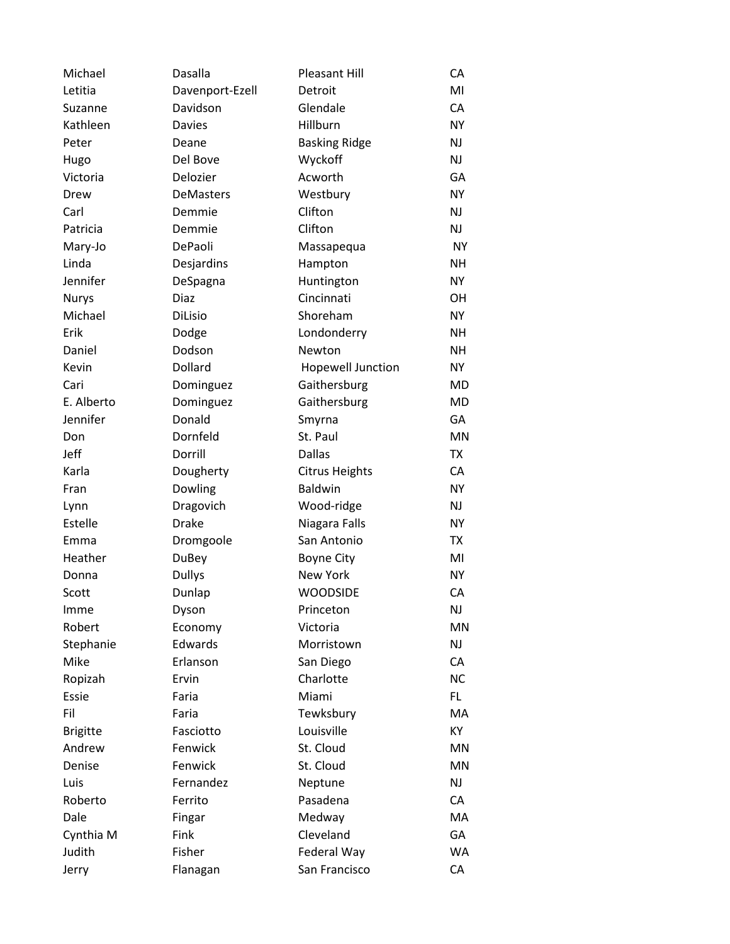| Michael         | Dasalla         | <b>Pleasant Hill</b>  | CA        |
|-----------------|-----------------|-----------------------|-----------|
| Letitia         | Davenport-Ezell | Detroit               | MI        |
| Suzanne         | Davidson        | Glendale              | CA        |
| Kathleen        | <b>Davies</b>   | Hillburn              | <b>NY</b> |
| Peter           | Deane           | <b>Basking Ridge</b>  | NJ        |
| Hugo            | Del Bove        | Wyckoff               | NJ        |
| Victoria        | Delozier        | Acworth               | GA        |
| Drew            | DeMasters       | Westbury              | <b>NY</b> |
| Carl            | Demmie          | Clifton               | NJ        |
| Patricia        | Demmie          | Clifton               | NJ        |
| Mary-Jo         | DePaoli         | Massapequa            | <b>NY</b> |
| Linda           | Desjardins      | Hampton               | <b>NH</b> |
| Jennifer        | DeSpagna        | Huntington            | <b>NY</b> |
| <b>Nurys</b>    | Diaz            | Cincinnati            | OН        |
| Michael         | <b>DiLisio</b>  | Shoreham              | NY.       |
| Erik            | Dodge           | Londonderry           | <b>NH</b> |
| Daniel          | Dodson          | Newton                | <b>NH</b> |
| Kevin           | Dollard         | Hopewell Junction     | <b>NY</b> |
| Cari            | Dominguez       | Gaithersburg          | <b>MD</b> |
| E. Alberto      | Dominguez       | Gaithersburg          | MD        |
| Jennifer        | Donald          | Smyrna                | GA        |
| Don             | Dornfeld        | St. Paul              | <b>MN</b> |
| Jeff            | Dorrill         | <b>Dallas</b>         | <b>TX</b> |
| Karla           | Dougherty       | <b>Citrus Heights</b> | CA        |
| Fran            | Dowling         | <b>Baldwin</b>        | <b>NY</b> |
| Lynn            | Dragovich       | Wood-ridge            | NJ        |
| Estelle         | <b>Drake</b>    | Niagara Falls         | <b>NY</b> |
| Emma            | Dromgoole       | San Antonio           | <b>TX</b> |
| Heather         | <b>DuBey</b>    | <b>Boyne City</b>     | MI        |
| Donna           | <b>Dullys</b>   | <b>New York</b>       | <b>NY</b> |
| Scott           | Dunlap          | <b>WOODSIDE</b>       | CA        |
| Imme            | Dyson           | Princeton             | <b>NJ</b> |
| Robert          | Economy         | Victoria              | <b>MN</b> |
| Stephanie       | Edwards         | Morristown            | <b>NJ</b> |
| Mike            | Erlanson        | San Diego             | CA        |
| Ropizah         | Ervin           | Charlotte             | <b>NC</b> |
| Essie           | Faria           | Miami                 | FL.       |
| Fil             | Faria           | Tewksbury             | MA        |
| <b>Brigitte</b> | Fasciotto       | Louisville            | KY.       |
| Andrew          | Fenwick         | St. Cloud             | MN        |
| Denise          | Fenwick         | St. Cloud             | <b>MN</b> |
| Luis            | Fernandez       | Neptune               | <b>NJ</b> |
| Roberto         | Ferrito         | Pasadena              | CA        |
| Dale            | Fingar          | Medway                | MA.       |
| Cynthia M       | Fink            | Cleveland             | GA        |
| Judith          | Fisher          | Federal Way           | <b>WA</b> |
| Jerry           | Flanagan        | San Francisco         | CA        |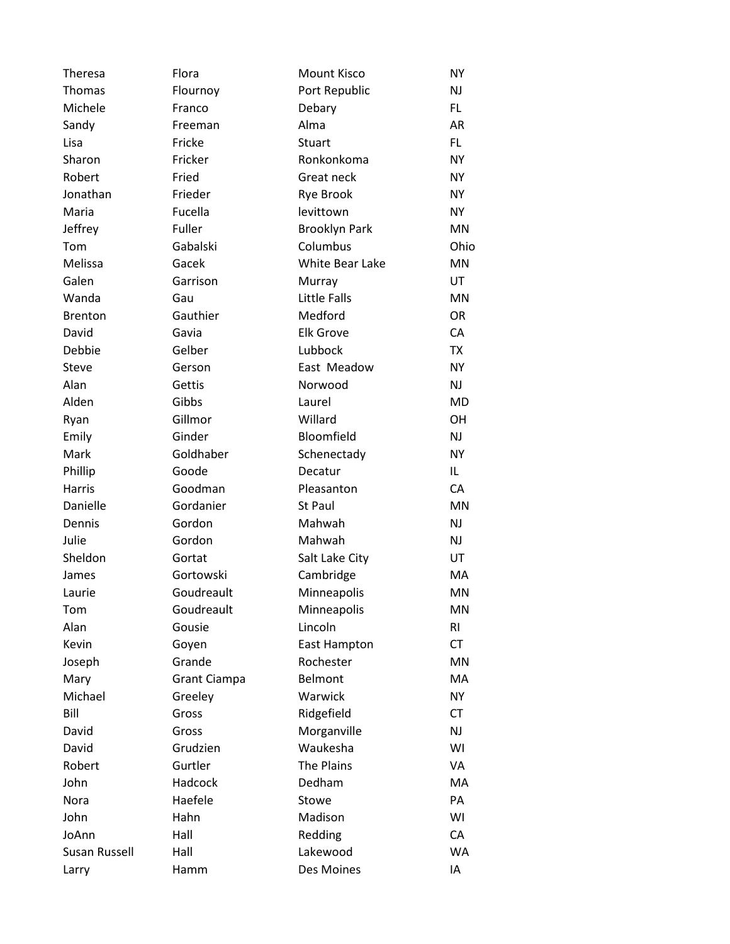| Theresa              | Flora               | <b>Mount Kisco</b>   | <b>NY</b> |
|----------------------|---------------------|----------------------|-----------|
| Thomas               | Flournoy            | Port Republic        | <b>NJ</b> |
| Michele              | Franco              | Debary               | FL.       |
| Sandy                | Freeman             | Alma                 | AR        |
| Lisa                 | Fricke              | Stuart               | FL.       |
| Sharon               | Fricker             | Ronkonkoma           | <b>NY</b> |
| Robert               | Fried               | Great neck           | <b>NY</b> |
| Jonathan             | Frieder             | Rye Brook            | <b>NY</b> |
| Maria                | Fucella             | levittown            | <b>NY</b> |
| Jeffrey              | Fuller              | <b>Brooklyn Park</b> | <b>MN</b> |
| Tom                  | Gabalski            | Columbus             | Ohio      |
| Melissa              | Gacek               | White Bear Lake      | <b>MN</b> |
| Galen                | Garrison            | Murray               | UT        |
| Wanda                | Gau                 | <b>Little Falls</b>  | <b>MN</b> |
| <b>Brenton</b>       | Gauthier            | Medford              | <b>OR</b> |
| David                | Gavia               | <b>Elk Grove</b>     | CA        |
| Debbie               | Gelber              | Lubbock              | <b>TX</b> |
| <b>Steve</b>         | Gerson              | East Meadow          | <b>NY</b> |
| Alan                 | Gettis              | Norwood              | <b>NJ</b> |
| Alden                | Gibbs               | Laurel               | <b>MD</b> |
| Ryan                 | Gillmor             | Willard              | <b>OH</b> |
| Emily                | Ginder              | Bloomfield           | NJ        |
| Mark                 | Goldhaber           | Schenectady          | <b>NY</b> |
| Phillip              | Goode               | Decatur              | IL        |
| <b>Harris</b>        | Goodman             | Pleasanton           | CA        |
| Danielle             | Gordanier           | St Paul              | <b>MN</b> |
| Dennis               | Gordon              | Mahwah               | NJ        |
| Julie                | Gordon              | Mahwah               | <b>NJ</b> |
| Sheldon              | Gortat              | Salt Lake City       | UT        |
| James                | Gortowski           | Cambridge            | МA        |
| Laurie               | Goudreault          | Minneapolis          | MN        |
| Tom                  | Goudreault          | Minneapolis          | MN        |
| Alan                 | Gousie              | Lincoln              | RI        |
| Kevin                | Goyen               | East Hampton         | <b>CT</b> |
| Joseph               | Grande              | Rochester            | MN        |
| Mary                 | <b>Grant Ciampa</b> | Belmont              | MA        |
| Michael              | Greeley             | Warwick              | <b>NY</b> |
| Bill                 | Gross               | Ridgefield           | <b>CT</b> |
| David                | Gross               | Morganville          | NJ        |
| David                | Grudzien            | Waukesha             | WI        |
| Robert               | Gurtler             | The Plains           | VA        |
| John                 | Hadcock             | Dedham               | МA        |
| Nora                 | Haefele             | Stowe                | PA        |
| John                 | Hahn                | Madison              | WI        |
| JoAnn                | Hall                | Redding              | CA        |
| <b>Susan Russell</b> | Hall                | Lakewood             | <b>WA</b> |
| Larry                | Hamm                | Des Moines           | IA        |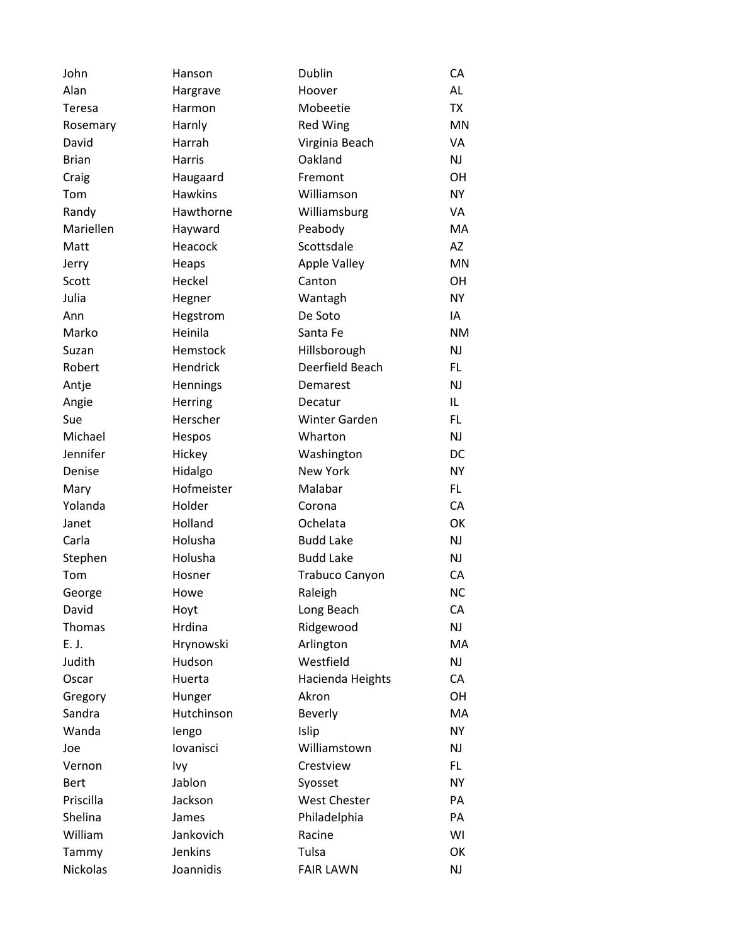| John         | Hanson         | Dublin                | СA        |
|--------------|----------------|-----------------------|-----------|
| Alan         | Hargrave       | Hoover                | AL        |
| Teresa       | Harmon         | Mobeetie              | <b>TX</b> |
| Rosemary     | Harnly         | Red Wing              | MN        |
| David        | Harrah         | Virginia Beach        | VA        |
| <b>Brian</b> | Harris         | Oakland               | <b>NJ</b> |
| Craig        | Haugaard       | Fremont               | OH        |
| Tom          | <b>Hawkins</b> | Williamson            | <b>NY</b> |
| Randy        | Hawthorne      | Williamsburg          | VA        |
| Mariellen    | Hayward        | Peabody               | MA        |
| Matt         | Heacock        | Scottsdale            | AZ        |
| Jerry        | Heaps          | <b>Apple Valley</b>   | <b>MN</b> |
| Scott        | Heckel         | Canton                | OH        |
| Julia        | Hegner         | Wantagh               | <b>NY</b> |
| Ann          | Hegstrom       | De Soto               | IA        |
| Marko        | Heinila        | Santa Fe              | <b>NM</b> |
| Suzan        | Hemstock       | Hillsborough          | <b>NJ</b> |
| Robert       | Hendrick       | Deerfield Beach       | FL        |
| Antje        | Hennings       | Demarest              | <b>NJ</b> |
| Angie        | Herring        | Decatur               | IL        |
| Sue          | Herscher       | <b>Winter Garden</b>  | FL        |
| Michael      | Hespos         | Wharton               | <b>NJ</b> |
| Jennifer     | Hickey         | Washington            | DC        |
| Denise       | Hidalgo        | <b>New York</b>       | <b>NY</b> |
| Mary         | Hofmeister     | Malabar               | FL.       |
| Yolanda      | Holder         | Corona                | CA        |
| Janet        | Holland        | Ochelata              | OK        |
| Carla        | Holusha        | <b>Budd Lake</b>      | <b>NJ</b> |
| Stephen      | Holusha        | <b>Budd Lake</b>      | <b>NJ</b> |
| Tom          | Hosner         | <b>Trabuco Canyon</b> | CA        |
| George       | Howe           | Raleigh               | <b>NC</b> |
| David        | Hoyt           | Long Beach            | СA        |
| Thomas       | Hrdina         | Ridgewood             | NJ        |
| E. J.        | Hrynowski      | Arlington             | MA        |
| Judith       | Hudson         | Westfield             | NJ        |
| Oscar        | Huerta         | Hacienda Heights      | CA        |
| Gregory      | Hunger         | Akron                 | OH        |
| Sandra       | Hutchinson     | <b>Beverly</b>        | MA        |
| Wanda        | lengo          | Islip                 | <b>NY</b> |
| Joe          | lovanisci      | Williamstown          | <b>NJ</b> |
| Vernon       | Ivy            | Crestview             | FL.       |
| <b>Bert</b>  | Jablon         | Syosset               | <b>NY</b> |
| Priscilla    | Jackson        | <b>West Chester</b>   | PA        |
| Shelina      | James          | Philadelphia          | PA        |
| William      | Jankovich      | Racine                | WI        |
| Tammy        | <b>Jenkins</b> | Tulsa                 | OK        |
| Nickolas     | Joannidis      | <b>FAIR LAWN</b>      | <b>NJ</b> |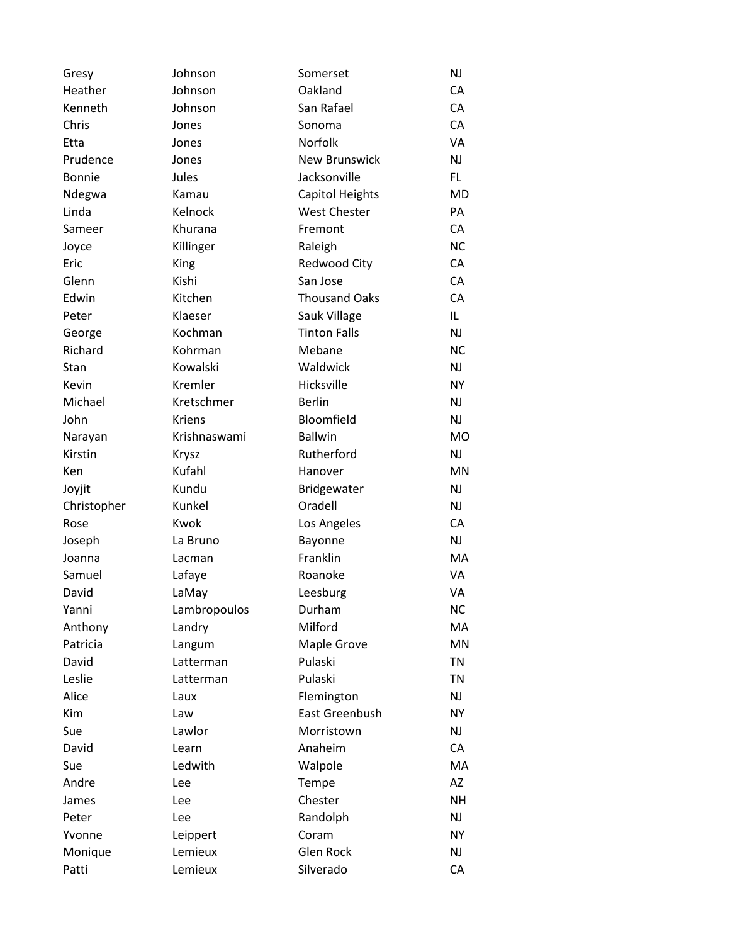| Gresy         | Johnson       | Somerset             | <b>NJ</b> |
|---------------|---------------|----------------------|-----------|
| Heather       | Johnson       | Oakland              | CA        |
| Kenneth       | Johnson       | San Rafael           | CA        |
| Chris         | Jones         | Sonoma               | CA        |
| Etta          | Jones         | Norfolk              | VA        |
| Prudence      | Jones         | <b>New Brunswick</b> | NJ        |
| <b>Bonnie</b> | Jules         | Jacksonville         | FL.       |
| Ndegwa        | Kamau         | Capitol Heights      | <b>MD</b> |
| Linda         | Kelnock       | <b>West Chester</b>  | PA        |
| Sameer        | Khurana       | Fremont              | CA        |
| Joyce         | Killinger     | Raleigh              | <b>NC</b> |
| Eric          | King          | Redwood City         | CA        |
| Glenn         | Kishi         | San Jose             | CA        |
| Edwin         | Kitchen       | <b>Thousand Oaks</b> | CA        |
| Peter         | Klaeser       | Sauk Village         | IL        |
| George        | Kochman       | <b>Tinton Falls</b>  | NJ        |
| Richard       | Kohrman       | Mebane               | <b>NC</b> |
| Stan          | Kowalski      | Waldwick             | <b>NJ</b> |
| Kevin         | Kremler       | Hicksville           | <b>NY</b> |
| Michael       | Kretschmer    | <b>Berlin</b>        | <b>NJ</b> |
| John          | <b>Kriens</b> | Bloomfield           | <b>NJ</b> |
| Narayan       | Krishnaswami  | <b>Ballwin</b>       | <b>MO</b> |
| Kirstin       | Krysz         | Rutherford           | NJ        |
| Ken           | Kufahl        | Hanover              | <b>MN</b> |
| Joyjit        | Kundu         | Bridgewater          | <b>NJ</b> |
| Christopher   | Kunkel        | Oradell              | <b>NJ</b> |
| Rose          | Kwok          | Los Angeles          | CA        |
| Joseph        | La Bruno      | Bayonne              | <b>NJ</b> |
| Joanna        | Lacman        | Franklin             | MA        |
| Samuel        | Lafaye        | Roanoke              | VA        |
| David         | LaMay         | Leesburg             | VA        |
| Yanni         | Lambropoulos  | Durham               | <b>NC</b> |
| Anthony       | Landry        | Milford              | MA        |
| Patricia      | Langum        | Maple Grove          | <b>MN</b> |
| David         | Latterman     | Pulaski              | <b>TN</b> |
| Leslie        | Latterman     | Pulaski              | <b>TN</b> |
| Alice         | Laux          | Flemington           | NJ        |
| Kim           | Law           | East Greenbush       | <b>NY</b> |
| Sue           | Lawlor        | Morristown           | NJ        |
| David         | Learn         | Anaheim              | CA        |
| Sue           | Ledwith       | Walpole              | MA        |
| Andre         | Lee           | Tempe                | AZ        |
| James         | Lee           | Chester              | <b>NH</b> |
| Peter         | Lee           | Randolph             | NJ        |
| Yvonne        | Leippert      | Coram                | <b>NY</b> |
| Monique       | Lemieux       | <b>Glen Rock</b>     | NJ        |
| Patti         | Lemieux       | Silverado            | CA        |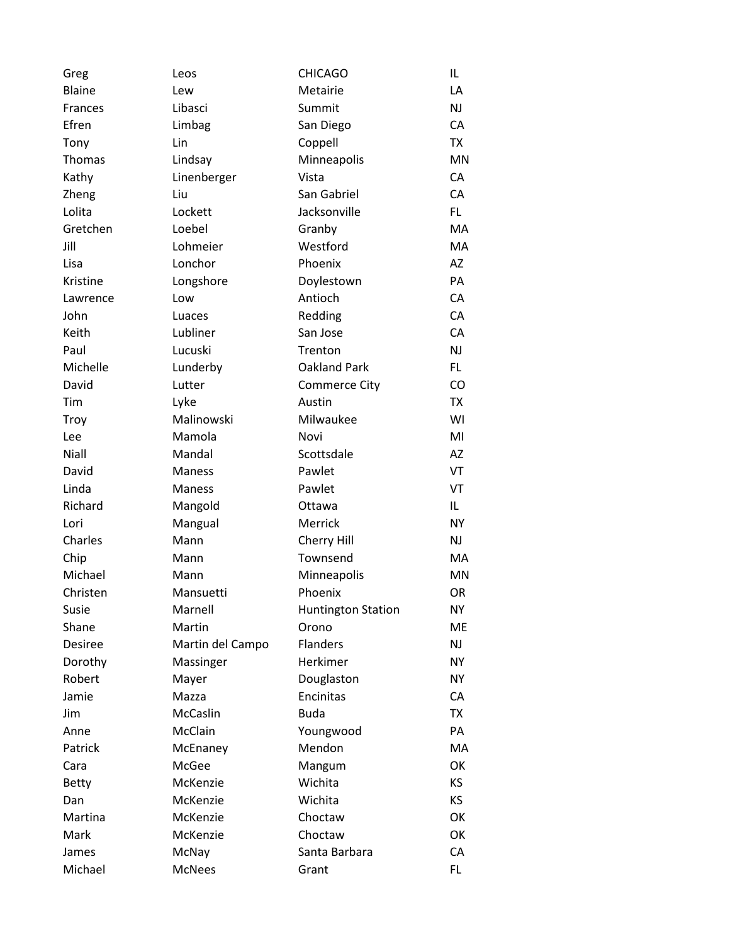| Greg           | Leos             | <b>CHICAGO</b>            | IL        |
|----------------|------------------|---------------------------|-----------|
| <b>Blaine</b>  | Lew              | Metairie                  | LA        |
| <b>Frances</b> | Libasci          | Summit                    | <b>NJ</b> |
| Efren          | Limbag           | San Diego                 | CA        |
| Tony           | Lin              | Coppell                   | <b>TX</b> |
| Thomas         | Lindsay          | Minneapolis               | <b>MN</b> |
| Kathy          | Linenberger      | Vista                     | CA        |
| Zheng          | Liu              | San Gabriel               | CA        |
| Lolita         | Lockett          | Jacksonville              | FL.       |
| Gretchen       | Loebel           | Granby                    | MA        |
| Jill           | Lohmeier         | Westford                  | MA        |
| Lisa           | Lonchor          | Phoenix                   | AZ        |
| Kristine       | Longshore        | Doylestown                | PA        |
| Lawrence       | Low              | Antioch                   | CA        |
| John           | Luaces           | Redding                   | CA        |
| Keith          | Lubliner         | San Jose                  | CA        |
| Paul           | Lucuski          | Trenton                   | NJ        |
| Michelle       | Lunderby         | Oakland Park              | FL.       |
| David          | Lutter           | <b>Commerce City</b>      | CO        |
| Tim            | Lyke             | Austin                    | <b>TX</b> |
| Troy           | Malinowski       | Milwaukee                 | WI        |
| Lee            | Mamola           | Novi                      | MI        |
| Niall          | Mandal           | Scottsdale                | <b>AZ</b> |
| David          | Maness           | Pawlet                    | VT        |
| Linda          | <b>Maness</b>    | Pawlet                    | VT        |
| Richard        | Mangold          | Ottawa                    | IL.       |
| Lori           | Mangual          | Merrick                   | <b>NY</b> |
| Charles        | Mann             | Cherry Hill               | <b>NJ</b> |
| Chip           | Mann             | Townsend                  | MA        |
| Michael        | Mann             | Minneapolis               | MN        |
| Christen       | Mansuetti        | Phoenix                   | OR        |
| Susie          | Marnell          | <b>Huntington Station</b> | NY        |
| Shane          | Martin           | Orono                     | <b>ME</b> |
| Desiree        | Martin del Campo | <b>Flanders</b>           | NJ        |
| Dorothy        | Massinger        | Herkimer                  | <b>NY</b> |
| Robert         | Mayer            | Douglaston                | <b>NY</b> |
| Jamie          | Mazza            | Encinitas                 | CA        |
| Jim            | <b>McCaslin</b>  | <b>Buda</b>               | <b>TX</b> |
| Anne           | McClain          | Youngwood                 | PA        |
| Patrick        | McEnaney         | Mendon                    | MA        |
| Cara           | McGee            | Mangum                    | OK        |
| <b>Betty</b>   | McKenzie         | Wichita                   | <b>KS</b> |
| Dan            | McKenzie         | Wichita                   | <b>KS</b> |
| Martina        | McKenzie         | Choctaw                   | OK        |
| Mark           | McKenzie         | Choctaw                   | OK        |
| James          | McNay            | Santa Barbara             | CA        |
| Michael        | <b>McNees</b>    | Grant                     | FL.       |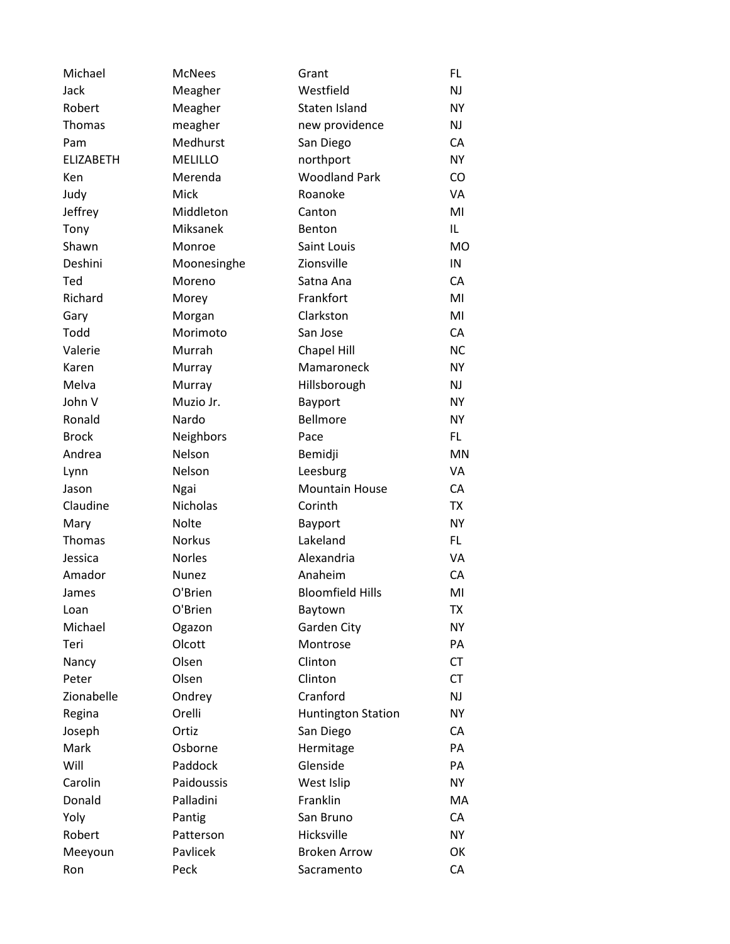| Michael          | <b>McNees</b>   | Grant                     | <b>FL</b> |
|------------------|-----------------|---------------------------|-----------|
| Jack             | Meagher         | Westfield                 | <b>NJ</b> |
| Robert           | Meagher         | Staten Island             | <b>NY</b> |
| Thomas           | meagher         | new providence            | <b>NJ</b> |
| Pam              | Medhurst        | San Diego                 | CA        |
| <b>ELIZABETH</b> | <b>MELILLO</b>  | northport                 | <b>NY</b> |
| Ken              | Merenda         | <b>Woodland Park</b>      | <b>CO</b> |
| Judy             | Mick            | Roanoke                   | VA        |
| Jeffrey          | Middleton       | Canton                    | MI        |
| Tony             | Miksanek        | Benton                    | IL        |
| Shawn            | Monroe          | Saint Louis               | <b>MO</b> |
| Deshini          | Moonesinghe     | Zionsville                | IN        |
| Ted              | Moreno          | Satna Ana                 | CA        |
| Richard          | Morey           | Frankfort                 | MI        |
| Gary             | Morgan          | Clarkston                 | MI        |
| Todd             | Morimoto        | San Jose                  | CA        |
| Valerie          | Murrah          | Chapel Hill               | <b>NC</b> |
| Karen            | Murray          | Mamaroneck                | <b>NY</b> |
| Melva            | Murray          | Hillsborough              | NJ        |
| John V           | Muzio Jr.       | Bayport                   | <b>NY</b> |
| Ronald           | Nardo           | <b>Bellmore</b>           | <b>NY</b> |
| <b>Brock</b>     | Neighbors       | Pace                      | FL.       |
| Andrea           | Nelson          | Bemidji                   | <b>MN</b> |
| Lynn             | Nelson          | Leesburg                  | VA        |
| Jason            | Ngai            | <b>Mountain House</b>     | CA        |
| Claudine         | <b>Nicholas</b> | Corinth                   | <b>TX</b> |
| Mary             | <b>Nolte</b>    | Bayport                   | <b>NY</b> |
| Thomas           | <b>Norkus</b>   | Lakeland                  | FL.       |
| Jessica          | Norles          | Alexandria                | VA        |
| Amador           | Nunez           | Anaheim                   | CA        |
| James            | O'Brien         | <b>Bloomfield Hills</b>   | MI        |
| Loan             | O'Brien         | Baytown                   | ТX        |
| Michael          | Ogazon          | Garden City               | <b>NY</b> |
| Teri             | Olcott          | Montrose                  | PA        |
| Nancy            | Olsen           | Clinton                   | <b>CT</b> |
| Peter            | Olsen           | Clinton                   | <b>CT</b> |
| Zionabelle       | Ondrey          | Cranford                  | NJ        |
| Regina           | Orelli          | <b>Huntington Station</b> | <b>NY</b> |
| Joseph           | Ortiz           | San Diego                 | CA        |
| Mark             | Osborne         | Hermitage                 | PA        |
| Will             | Paddock         | Glenside                  | PA        |
| Carolin          | Paidoussis      | West Islip                | <b>NY</b> |
| Donald           | Palladini       | Franklin                  | MA        |
| Yoly             | Pantig          | San Bruno                 | CA        |
| Robert           | Patterson       | Hicksville                | <b>NY</b> |
| Meeyoun          | Pavlicek        | <b>Broken Arrow</b>       | OK        |
| Ron              | Peck            | Sacramento                | CA        |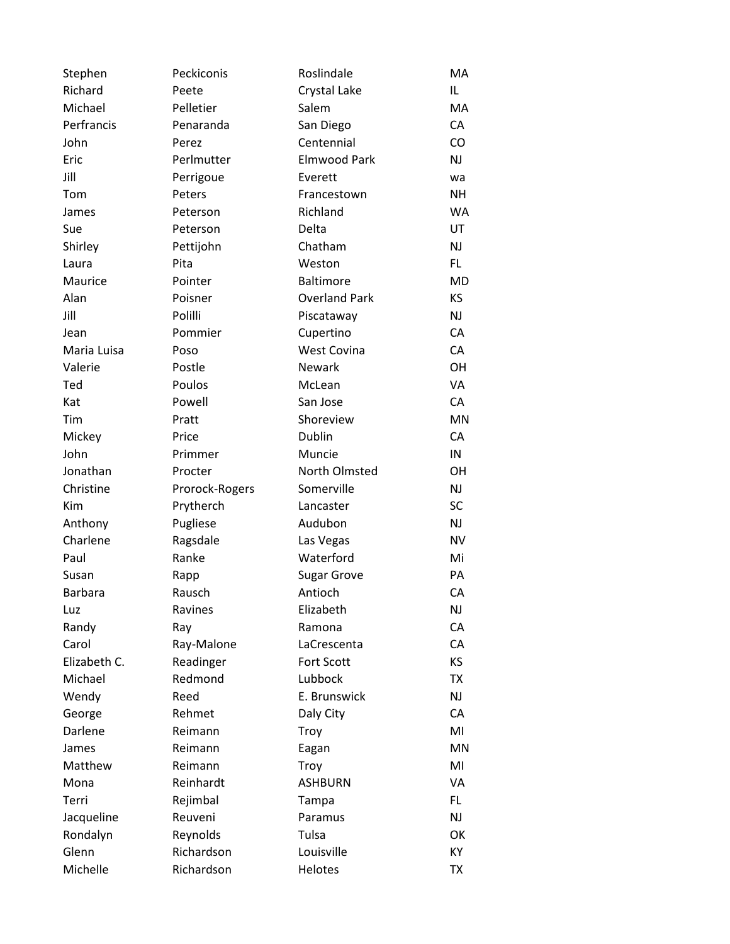| Stephen        | Peckiconis     | Roslindale           | MA        |
|----------------|----------------|----------------------|-----------|
| Richard        | Peete          | Crystal Lake         | IL        |
| Michael        | Pelletier      | Salem                | MA        |
| Perfrancis     | Penaranda      | San Diego            | CA        |
| John           | Perez          | Centennial           | CO        |
| Eric           | Perlmutter     | <b>Elmwood Park</b>  | NJ        |
| Jill           | Perrigoue      | Everett              | wa        |
| Tom            | Peters         | Francestown          | <b>NH</b> |
| James          | Peterson       | Richland             | <b>WA</b> |
| Sue            | Peterson       | Delta                | UT        |
| Shirley        | Pettijohn      | Chatham              | NJ        |
| Laura          | Pita           | Weston               | FL.       |
| Maurice        | Pointer        | <b>Baltimore</b>     | <b>MD</b> |
| Alan           | Poisner        | <b>Overland Park</b> | KS        |
| Jill           | Polilli        | Piscataway           | <b>NJ</b> |
| Jean           | Pommier        | Cupertino            | CA        |
| Maria Luisa    | Poso           | <b>West Covina</b>   | CA        |
| Valerie        | Postle         | <b>Newark</b>        | OH        |
| Ted            | Poulos         | McLean               | VA        |
| Kat            | Powell         | San Jose             | CA        |
| Tim            | Pratt          | Shoreview            | <b>MN</b> |
| Mickey         | Price          | Dublin               | CA        |
| John           | Primmer        | Muncie               | IN        |
| Jonathan       | Procter        | North Olmsted        | OН        |
| Christine      | Prorock-Rogers | Somerville           | NJ        |
| <b>Kim</b>     | Prytherch      | Lancaster            | <b>SC</b> |
| Anthony        | Pugliese       | Audubon              | NJ        |
| Charlene       | Ragsdale       | Las Vegas            | <b>NV</b> |
| Paul           | Ranke          | Waterford            | Mi        |
| Susan          | Rapp           | <b>Sugar Grove</b>   | PA        |
| <b>Barbara</b> | Rausch         | Antioch              | CA        |
| Luz            | Ravines        | Elizabeth            | <b>NJ</b> |
| Randy          | Ray            | Ramona               | CA        |
| Carol          | Ray-Malone     | LaCrescenta          | CA        |
| Elizabeth C.   | Readinger      | <b>Fort Scott</b>    | KS        |
| Michael        | Redmond        | Lubbock              | <b>TX</b> |
| Wendy          | Reed           | E. Brunswick         | NJ        |
| George         | Rehmet         | Daly City            | CA        |
| Darlene        | Reimann        | Troy                 | MI        |
| James          | Reimann        | Eagan                | <b>MN</b> |
| Matthew        | Reimann        | Troy                 | MI        |
| Mona           | Reinhardt      | <b>ASHBURN</b>       | VA        |
| Terri          | Rejimbal       | Tampa                | FL.       |
| Jacqueline     | Reuveni        | Paramus              | NJ        |
| Rondalyn       | Reynolds       | Tulsa                | OK        |
| Glenn          | Richardson     | Louisville           | KY        |
| Michelle       | Richardson     | Helotes              | TX        |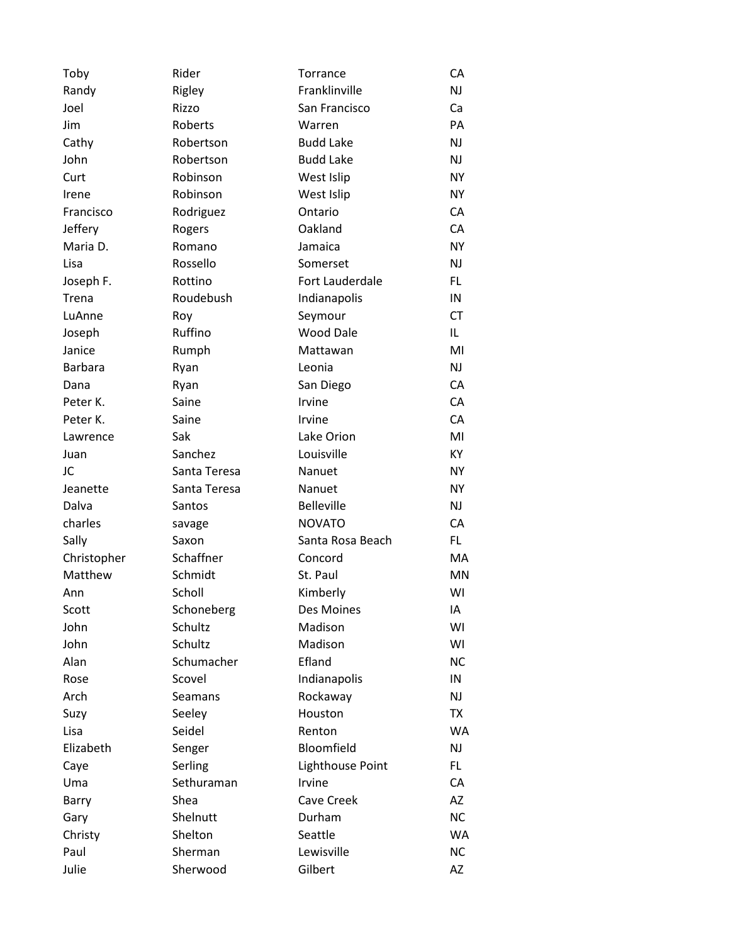| Toby           | Rider        | Torrance          | СA        |
|----------------|--------------|-------------------|-----------|
| Randy          | Rigley       | Franklinville     | NJ        |
| Joel           | Rizzo        | San Francisco     | Ca        |
| Jim            | Roberts      | Warren            | PA        |
| Cathy          | Robertson    | <b>Budd Lake</b>  | NJ        |
| John           | Robertson    | <b>Budd Lake</b>  | NJ        |
| Curt           | Robinson     | West Islip        | NY.       |
| Irene          | Robinson     | West Islip        | <b>NY</b> |
| Francisco      | Rodriguez    | Ontario           | CA        |
| Jeffery        | Rogers       | Oakland           | CA        |
| Maria D.       | Romano       | Jamaica           | <b>NY</b> |
| Lisa           | Rossello     | Somerset          | NJ        |
| Joseph F.      | Rottino      | Fort Lauderdale   | FL.       |
| Trena          | Roudebush    | Indianapolis      | IN        |
| LuAnne         | Roy          | Seymour           | <b>CT</b> |
| Joseph         | Ruffino      | <b>Wood Dale</b>  | IL        |
| Janice         | Rumph        | Mattawan          | MI        |
| <b>Barbara</b> | Ryan         | Leonia            | <b>NJ</b> |
| Dana           | Ryan         | San Diego         | CA        |
| Peter K.       | Saine        | Irvine            | CA        |
| Peter K.       | Saine        | Irvine            | CA        |
| Lawrence       | Sak          | Lake Orion        | MI        |
| Juan           | Sanchez      | Louisville        | KY        |
| JC             | Santa Teresa | Nanuet            | <b>NY</b> |
| Jeanette       | Santa Teresa | Nanuet            | <b>NY</b> |
| Dalva          | Santos       | <b>Belleville</b> | NJ.       |
| charles        | savage       | <b>NOVATO</b>     | CA        |
| Sally          | Saxon        | Santa Rosa Beach  | FL        |
| Christopher    | Schaffner    | Concord           | MA        |
| Matthew        | Schmidt      | St. Paul          | MN        |
| Ann            | Scholl       | Kimberly          | WI        |
| Scott          | Schoneberg   | Des Moines        | IA        |
| John           | Schultz      | Madison           | WI        |
| John           | Schultz      | Madison           | WI        |
| Alan           | Schumacher   | Efland            | <b>NC</b> |
| Rose           | Scovel       | Indianapolis      | IN        |
| Arch           | Seamans      | Rockaway          | NJ        |
| Suzy           | Seeley       | Houston           | TX        |
| Lisa           | Seidel       | Renton            | WA        |
| Elizabeth      | Senger       | Bloomfield        | NJ        |
| Caye           | Serling      | Lighthouse Point  | FL.       |
| Uma            | Sethuraman   | Irvine            | CA        |
| Barry          | Shea         | Cave Creek        | AZ        |
| Gary           | Shelnutt     | Durham            | <b>NC</b> |
| Christy        | Shelton      | Seattle           | <b>WA</b> |
| Paul           | Sherman      | Lewisville        | <b>NC</b> |
| Julie          | Sherwood     | Gilbert           | AZ        |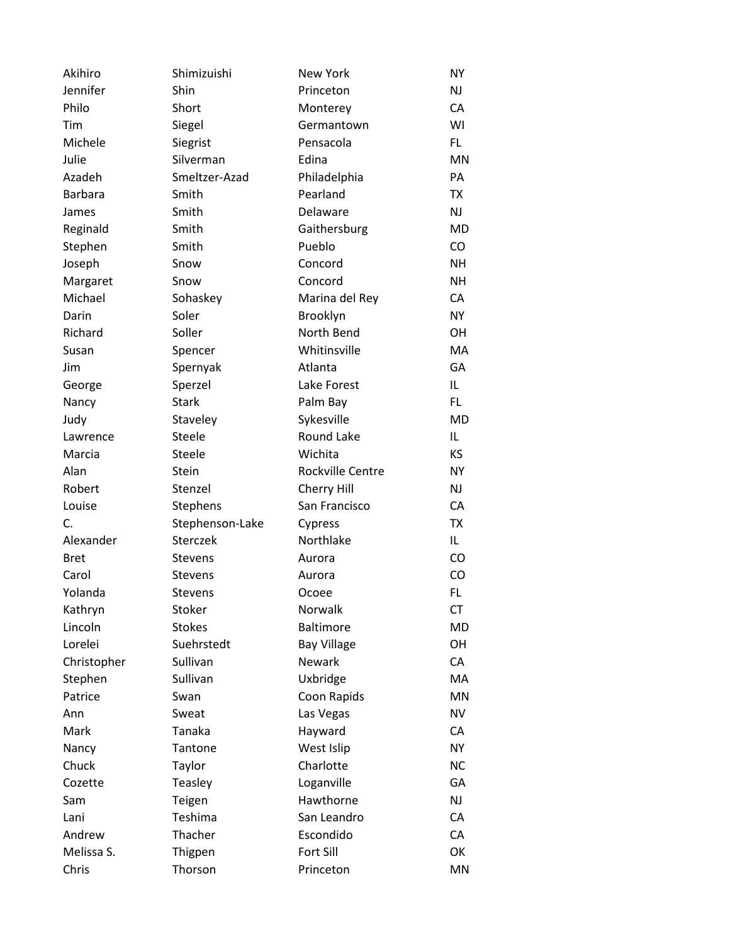| Akihiro        | Shimizuishi     | <b>New York</b>    | <b>NY</b> |
|----------------|-----------------|--------------------|-----------|
| Jennifer       | Shin            | Princeton          | <b>NJ</b> |
| Philo          | Short           | Monterey           | CA        |
| Tim            | Siegel          | Germantown         | WI        |
| Michele        | Siegrist        | Pensacola          | FL.       |
| Julie          | Silverman       | Edina              | <b>MN</b> |
| Azadeh         | Smeltzer-Azad   | Philadelphia       | PA        |
| <b>Barbara</b> | Smith           | Pearland           | TX        |
| James          | Smith           | Delaware           | <b>NJ</b> |
| Reginald       | Smith           | Gaithersburg       | <b>MD</b> |
| Stephen        | Smith           | Pueblo             | <b>CO</b> |
| Joseph         | Snow            | Concord            | <b>NH</b> |
| Margaret       | Snow            | Concord            | <b>NH</b> |
| Michael        | Sohaskey        | Marina del Rey     | CA        |
| Darin          | Soler           | Brooklyn           | <b>NY</b> |
| Richard        | Soller          | North Bend         | <b>OH</b> |
| Susan          | Spencer         | Whitinsville       | MA        |
| Jim            | Spernyak        | Atlanta            | GA        |
| George         | Sperzel         | Lake Forest        | IL        |
| Nancy          | <b>Stark</b>    | Palm Bay           | FL.       |
| Judy           | Staveley        | Sykesville         | <b>MD</b> |
| Lawrence       | Steele          | Round Lake         | IL        |
| Marcia         | Steele          | Wichita            | <b>KS</b> |
| Alan           | Stein           | Rockville Centre   | <b>NY</b> |
| Robert         | Stenzel         | Cherry Hill        | <b>NJ</b> |
| Louise         | Stephens        | San Francisco      | CA        |
| C.             | Stephenson-Lake | Cypress            | <b>TX</b> |
| Alexander      | Sterczek        | Northlake          | IL.       |
| <b>Bret</b>    | <b>Stevens</b>  | Aurora             | CO        |
| Carol          | <b>Stevens</b>  | Aurora             | CO        |
| Yolanda        | <b>Stevens</b>  | Ocoee              | FL.       |
| Kathryn        | Stoker          | Norwalk            | <b>CT</b> |
| Lincoln        | <b>Stokes</b>   | <b>Baltimore</b>   | <b>MD</b> |
| Lorelei        | Suehrstedt      | <b>Bay Village</b> | OH        |
| Christopher    | Sullivan        | <b>Newark</b>      | CA        |
| Stephen        | Sullivan        | Uxbridge           | MA        |
| Patrice        | Swan            | Coon Rapids        | <b>MN</b> |
| Ann            | Sweat           | Las Vegas          | <b>NV</b> |
| Mark           | Tanaka          | Hayward            | CA        |
| Nancy          | Tantone         | West Islip         | <b>NY</b> |
| Chuck          | Taylor          | Charlotte          | <b>NC</b> |
| Cozette        | Teasley         | Loganville         | GA        |
| Sam            | Teigen          | Hawthorne          | NJ        |
| Lani           | Teshima         | San Leandro        | CA        |
| Andrew         | Thacher         | Escondido          | CA        |
| Melissa S.     | Thigpen         | Fort Sill          | OK        |
| Chris          | Thorson         | Princeton          | MN        |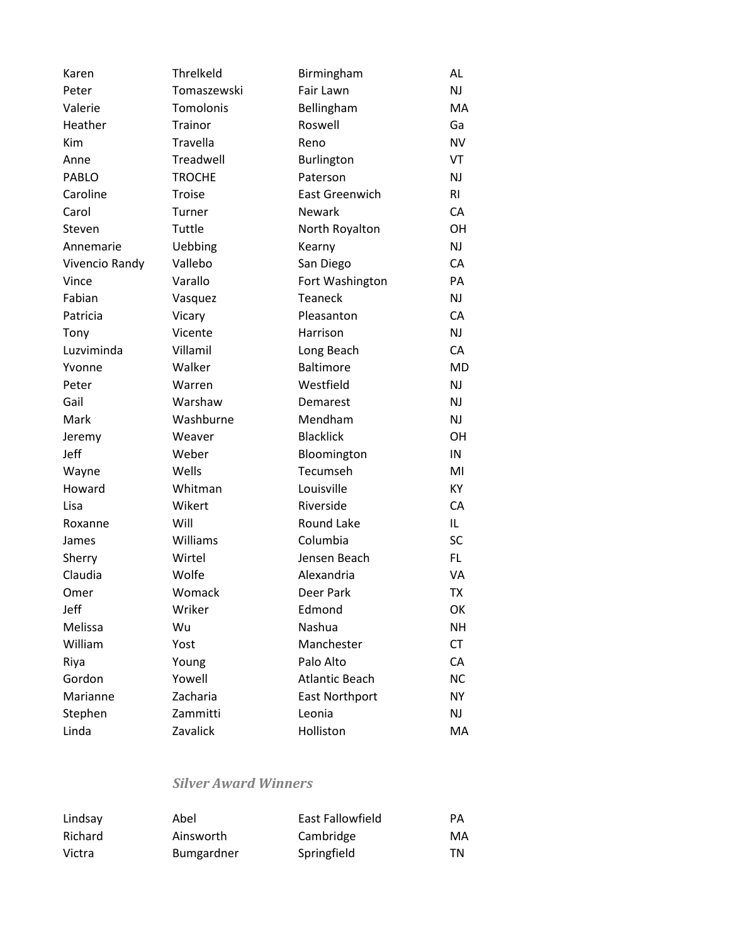| Karen          | Threlkeld     | Birmingham            | AL        |
|----------------|---------------|-----------------------|-----------|
| Peter          | Tomaszewski   | Fair Lawn             | <b>NJ</b> |
| Valerie        | Tomolonis     | Bellingham            | МA        |
| Heather        | Trainor       | Roswell               | Ga        |
| Kim            | Travella      | Reno                  | <b>NV</b> |
| Anne           | Treadwell     | <b>Burlington</b>     | VT        |
| PABLO          | <b>TROCHE</b> | Paterson              | NJ        |
| Caroline       | Troise        | <b>East Greenwich</b> | RI        |
| Carol          | Turner        | <b>Newark</b>         | CA        |
| Steven         | Tuttle        | North Royalton        | <b>OH</b> |
| Annemarie      | Uebbing       | Kearny                | NJ        |
| Vivencio Randy | Vallebo       | San Diego             | CA        |
| Vince          | Varallo       | Fort Washington       | PA        |
| Fabian         | Vasquez       | Teaneck               | <b>NJ</b> |
| Patricia       | Vicary        | Pleasanton            | CA        |
| Tony           | Vicente       | Harrison              | <b>NJ</b> |
| Luzviminda     | Villamil      | Long Beach            | CA        |
| Yvonne         | Walker        | <b>Baltimore</b>      | MD        |
| Peter          | Warren        | Westfield             | NJ        |
| Gail           | Warshaw       | Demarest              | NJ        |
| Mark           | Washburne     | Mendham               | <b>NJ</b> |
| Jeremy         | Weaver        | <b>Blacklick</b>      | <b>OH</b> |
| Jeff           | Weber         | Bloomington           | IN        |
| Wayne          | Wells         | Tecumseh              | MI        |
| Howard         | Whitman       | Louisville            | KY        |
| Lisa           | Wikert        | Riverside             | CA        |
| Roxanne        | Will          | Round Lake            | IL.       |
| James          | Williams      | Columbia              | SC        |
| Sherry         | Wirtel        | Jensen Beach          | FL.       |
| Claudia        | Wolfe         | Alexandria            | VA        |
| Omer           | Womack        | Deer Park             | <b>TX</b> |
| Jeff           | Wriker        | Edmond                | OK        |
| Melissa        | Wu            | Nashua                | <b>NH</b> |
| William        | Yost          | Manchester            | <b>CT</b> |
| Riya           | Young         | Palo Alto             | CA        |
| Gordon         | Yowell        | <b>Atlantic Beach</b> | <b>NC</b> |
| Marianne       | Zacharia      | <b>East Northport</b> | <b>NY</b> |
| Stephen        | Zammitti      | Leonia                | <b>NJ</b> |
| Linda          | Zavalick      | Holliston             | MA        |

### *Silver Award Winners*

| Lindsay | Abel              | East Fallowfield | <b>PA</b> |
|---------|-------------------|------------------|-----------|
| Richard | Ainsworth         | Cambridge        | MA        |
| Victra  | <b>Bumgardner</b> | Springfield      | TN        |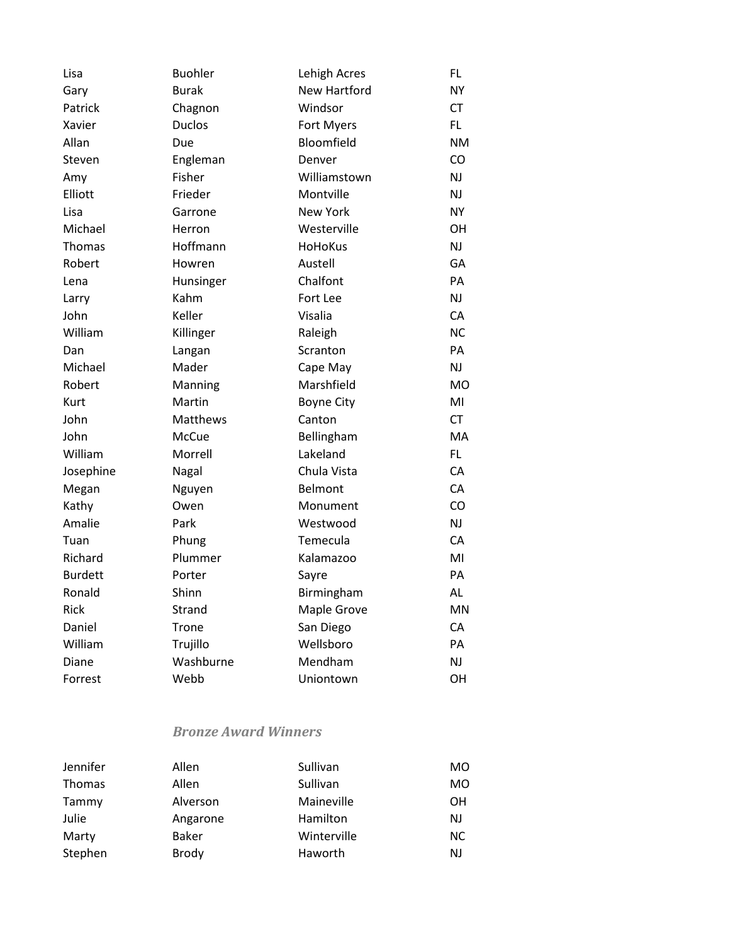| Lisa           | <b>Buohler</b> | Lehigh Acres      | <b>FL</b> |
|----------------|----------------|-------------------|-----------|
| Gary           | <b>Burak</b>   | New Hartford      | <b>NY</b> |
| Patrick        | Chagnon        | Windsor           | СT        |
| Xavier         | <b>Duclos</b>  | Fort Myers        | FL        |
| Allan          | Due            | Bloomfield        | NM        |
| Steven         | Engleman       | Denver            | CO        |
| Amy            | Fisher         | Williamstown      | NJ        |
| Elliott        | Frieder        | Montville         | ΝJ        |
| Lisa           | Garrone        | <b>New York</b>   | NY        |
| Michael        | Herron         | Westerville       | OН        |
| Thomas         | Hoffmann       | <b>HoHoKus</b>    | NJ        |
| Robert         | Howren         | Austell           | GA        |
| Lena           | Hunsinger      | Chalfont          | PA        |
| Larry          | Kahm           | Fort Lee          | NJ        |
| John           | Keller         | Visalia           | CA        |
| William        | Killinger      | Raleigh           | <b>NC</b> |
| Dan            | Langan         | Scranton          | PА        |
| Michael        | Mader          | Cape May          | NJ        |
| Robert         | Manning        | Marshfield        | MO        |
| Kurt           | Martin         | <b>Boyne City</b> | MI        |
| John           | Matthews       | Canton            | <b>CT</b> |
| John           | McCue          | Bellingham        | <b>MA</b> |
| William        | Morrell        | Lakeland          | FL.       |
| Josephine      | Nagal          | Chula Vista       | CA        |
| Megan          | Nguyen         | Belmont           | CA        |
| Kathy          | Owen           | Monument          | CO        |
| Amalie         | Park           | Westwood          | NJ        |
| Tuan           | Phung          | Temecula          | CA        |
| Richard        | Plummer        | Kalamazoo         | MI        |
| <b>Burdett</b> | Porter         | Sayre             | PА        |
| Ronald         | Shinn          | Birmingham        | AL        |
| <b>Rick</b>    | Strand         | Maple Grove       | MN        |
| Daniel         | Trone          | San Diego         | CA        |
| William        | Trujillo       | Wellsboro         | PА        |
| Diane          | Washburne      | Mendham           | NJ        |
| Forrest        | Webb           | Uniontown         | OH        |
|                |                |                   |           |

#### *Bronze Award Winners*

| Jennifer      | Allen        | Sullivan    | MO.       |
|---------------|--------------|-------------|-----------|
| <b>Thomas</b> | Allen        | Sullivan    | MO        |
| Tammy         | Alverson     | Maineville  | OН        |
| Julie         | Angarone     | Hamilton    | <b>NJ</b> |
| Marty         | Baker        | Winterville | <b>NC</b> |
| Stephen       | <b>Brody</b> | Haworth     | NJ        |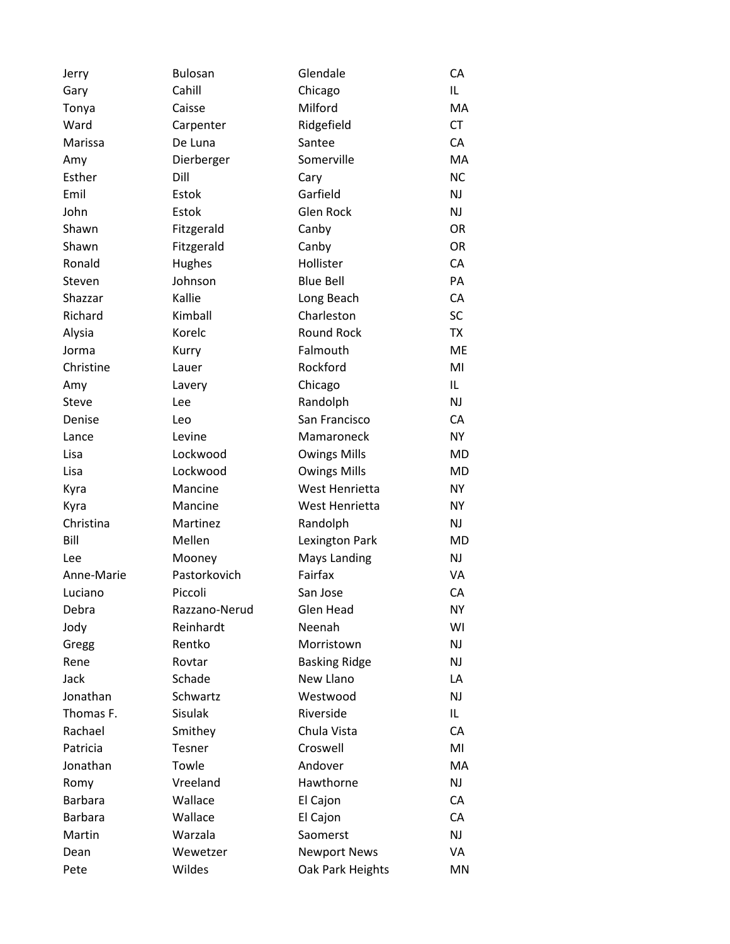| Jerry          | <b>Bulosan</b> | Glendale             | СA        |
|----------------|----------------|----------------------|-----------|
| Gary           | Cahill         | Chicago              | IL        |
| Tonya          | Caisse         | Milford              | MA        |
| Ward           | Carpenter      | Ridgefield           | <b>CT</b> |
| Marissa        | De Luna        | Santee               | CA        |
| Amy            | Dierberger     | Somerville           | MA        |
| Esther         | Dill           | Cary                 | <b>NC</b> |
| Emil           | Estok          | Garfield             | NJ        |
| John           | Estok          | Glen Rock            | NJ        |
| Shawn          | Fitzgerald     | Canby                | <b>OR</b> |
| Shawn          | Fitzgerald     | Canby                | OR        |
| Ronald         | Hughes         | Hollister            | CA        |
| Steven         | Johnson        | <b>Blue Bell</b>     | PA        |
| Shazzar        | Kallie         | Long Beach           | CA        |
| Richard        | Kimball        | Charleston           | <b>SC</b> |
| Alysia         | Korelc         | Round Rock           | <b>TX</b> |
| Jorma          | Kurry          | Falmouth             | <b>ME</b> |
| Christine      | Lauer          | Rockford             | MI        |
| Amy            | Lavery         | Chicago              | IL        |
| <b>Steve</b>   | Lee            | Randolph             | NJ        |
| Denise         | Leo            | San Francisco        | CA        |
| Lance          | Levine         | Mamaroneck           | <b>NY</b> |
| Lisa           | Lockwood       | <b>Owings Mills</b>  | MD        |
| Lisa           | Lockwood       | <b>Owings Mills</b>  | MD        |
| Kyra           | Mancine        | West Henrietta       | <b>NY</b> |
| Kyra           | Mancine        | West Henrietta       | <b>NY</b> |
| Christina      | Martinez       | Randolph             | NJ        |
| Bill           | Mellen         | Lexington Park       | MD        |
| Lee            | Mooney         | <b>Mays Landing</b>  | NJ        |
| Anne-Marie     | Pastorkovich   | Fairfax              | VA        |
| Luciano        | Piccoli        | San Jose             | CA        |
| Debra          | Razzano-Nerud  | Glen Head            | <b>NY</b> |
| Jody           | Reinhardt      | Neenah               | WI        |
| Gregg          | Rentko         | Morristown           | NJ        |
| Rene           | Rovtar         | <b>Basking Ridge</b> | NJ        |
| Jack           | Schade         | New Llano            | LA        |
| Jonathan       | Schwartz       | Westwood             | NJ        |
| Thomas F.      | <b>Sisulak</b> | Riverside            | IL.       |
| Rachael        | Smithey        | Chula Vista          | CA        |
| Patricia       | Tesner         | Croswell             | MI        |
| Jonathan       | Towle          | Andover              | MA        |
| Romy           | Vreeland       | Hawthorne            | NJ        |
| <b>Barbara</b> | Wallace        | El Cajon             | CA        |
| <b>Barbara</b> | Wallace        | El Cajon             | CA        |
| Martin         | Warzala        | Saomerst             | NJ        |
| Dean           | Wewetzer       | <b>Newport News</b>  | VA        |
| Pete           | Wildes         | Oak Park Heights     | ΜN        |